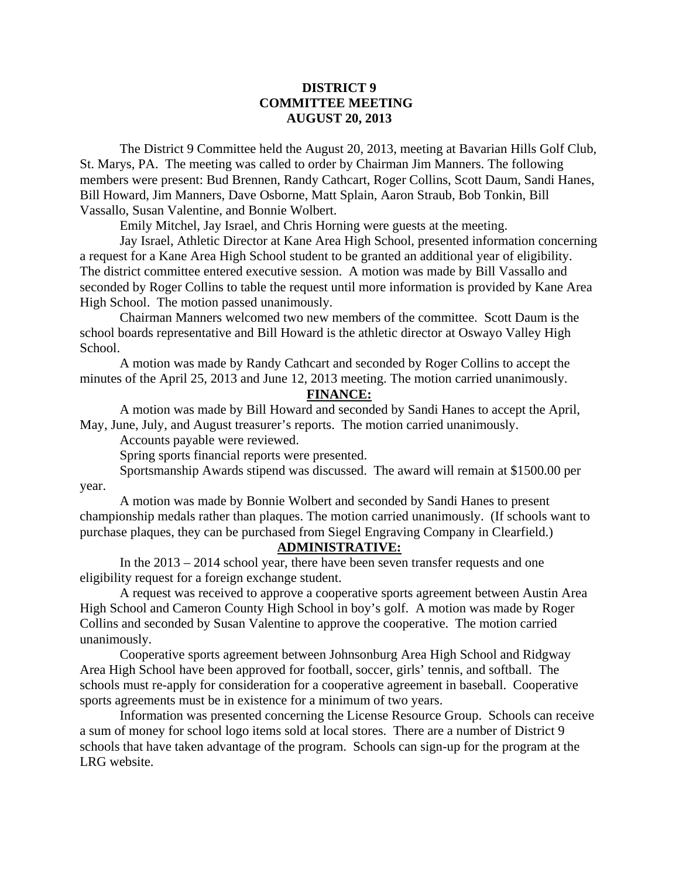## **DISTRICT 9 COMMITTEE MEETING AUGUST 20, 2013**

 The District 9 Committee held the August 20, 2013, meeting at Bavarian Hills Golf Club, St. Marys, PA. The meeting was called to order by Chairman Jim Manners. The following members were present: Bud Brennen, Randy Cathcart, Roger Collins, Scott Daum, Sandi Hanes, Bill Howard, Jim Manners, Dave Osborne, Matt Splain, Aaron Straub, Bob Tonkin, Bill Vassallo, Susan Valentine, and Bonnie Wolbert.

Emily Mitchel, Jay Israel, and Chris Horning were guests at the meeting.

 Jay Israel, Athletic Director at Kane Area High School, presented information concerning a request for a Kane Area High School student to be granted an additional year of eligibility. The district committee entered executive session. A motion was made by Bill Vassallo and seconded by Roger Collins to table the request until more information is provided by Kane Area High School. The motion passed unanimously.

 Chairman Manners welcomed two new members of the committee. Scott Daum is the school boards representative and Bill Howard is the athletic director at Oswayo Valley High School.

 A motion was made by Randy Cathcart and seconded by Roger Collins to accept the minutes of the April 25, 2013 and June 12, 2013 meeting. The motion carried unanimously.

**FINANCE:**

A motion was made by Bill Howard and seconded by Sandi Hanes to accept the April, May, June, July, and August treasurer's reports. The motion carried unanimously.

Accounts payable were reviewed.

Spring sports financial reports were presented.

 Sportsmanship Awards stipend was discussed. The award will remain at \$1500.00 per year.

 A motion was made by Bonnie Wolbert and seconded by Sandi Hanes to present championship medals rather than plaques. The motion carried unanimously. (If schools want to purchase plaques, they can be purchased from Siegel Engraving Company in Clearfield.)

## **ADMINISTRATIVE:**

In the 2013 – 2014 school year, there have been seven transfer requests and one eligibility request for a foreign exchange student.

A request was received to approve a cooperative sports agreement between Austin Area High School and Cameron County High School in boy's golf. A motion was made by Roger Collins and seconded by Susan Valentine to approve the cooperative. The motion carried unanimously.

Cooperative sports agreement between Johnsonburg Area High School and Ridgway Area High School have been approved for football, soccer, girls' tennis, and softball. The schools must re-apply for consideration for a cooperative agreement in baseball. Cooperative sports agreements must be in existence for a minimum of two years.

Information was presented concerning the License Resource Group. Schools can receive a sum of money for school logo items sold at local stores. There are a number of District 9 schools that have taken advantage of the program. Schools can sign-up for the program at the LRG website.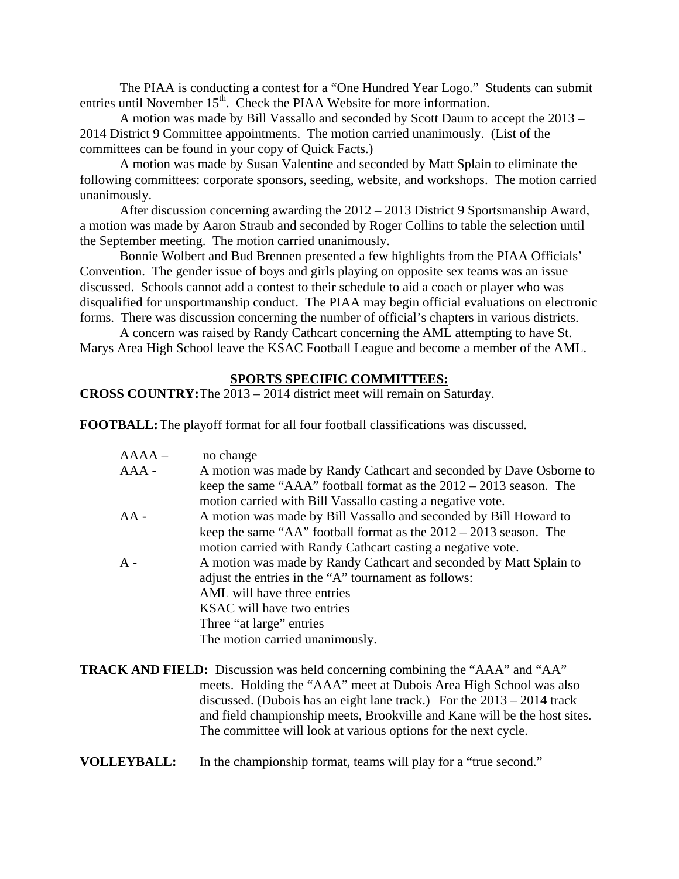The PIAA is conducting a contest for a "One Hundred Year Logo." Students can submit entries until November 15<sup>th</sup>. Check the PIAA Website for more information.

A motion was made by Bill Vassallo and seconded by Scott Daum to accept the 2013 – 2014 District 9 Committee appointments. The motion carried unanimously. (List of the committees can be found in your copy of Quick Facts.)

 A motion was made by Susan Valentine and seconded by Matt Splain to eliminate the following committees: corporate sponsors, seeding, website, and workshops. The motion carried unanimously.

 After discussion concerning awarding the 2012 – 2013 District 9 Sportsmanship Award, a motion was made by Aaron Straub and seconded by Roger Collins to table the selection until the September meeting. The motion carried unanimously.

 Bonnie Wolbert and Bud Brennen presented a few highlights from the PIAA Officials' Convention. The gender issue of boys and girls playing on opposite sex teams was an issue discussed. Schools cannot add a contest to their schedule to aid a coach or player who was disqualified for unsportmanship conduct. The PIAA may begin official evaluations on electronic forms. There was discussion concerning the number of official's chapters in various districts.

 A concern was raised by Randy Cathcart concerning the AML attempting to have St. Marys Area High School leave the KSAC Football League and become a member of the AML.

### **SPORTS SPECIFIC COMMITTEES:**

# **CROSS COUNTRY:** The 2013 – 2014 district meet will remain on Saturday.

**FOOTBALL:** The playoff format for all four football classifications was discussed.

| $AAAA -$ | no change                                                                                                                          |
|----------|------------------------------------------------------------------------------------------------------------------------------------|
| $AAA -$  | A motion was made by Randy Cathcart and seconded by Dave Osborne to                                                                |
|          | keep the same "AAA" football format as the $2012 - 2013$ season. The<br>motion carried with Bill Vassallo casting a negative vote. |
| $AA -$   | A motion was made by Bill Vassallo and seconded by Bill Howard to                                                                  |
|          |                                                                                                                                    |
|          | keep the same "AA" football format as the $2012 - 2013$ season. The                                                                |
|          | motion carried with Randy Cathcart casting a negative vote.                                                                        |
| $A -$    | A motion was made by Randy Cathcart and seconded by Matt Splain to                                                                 |
|          | adjust the entries in the "A" tournament as follows:                                                                               |
|          | AML will have three entries                                                                                                        |
|          | KSAC will have two entries                                                                                                         |
|          | Three "at large" entries                                                                                                           |
|          | The motion carried unanimously.                                                                                                    |
|          |                                                                                                                                    |

**TRACK AND FIELD:** Discussion was held concerning combining the "AAA" and "AA" meets. Holding the "AAA" meet at Dubois Area High School was also discussed. (Dubois has an eight lane track.) For the 2013 – 2014 track and field championship meets, Brookville and Kane will be the host sites. The committee will look at various options for the next cycle.

#### **VOLLEYBALL:** In the championship format, teams will play for a "true second."